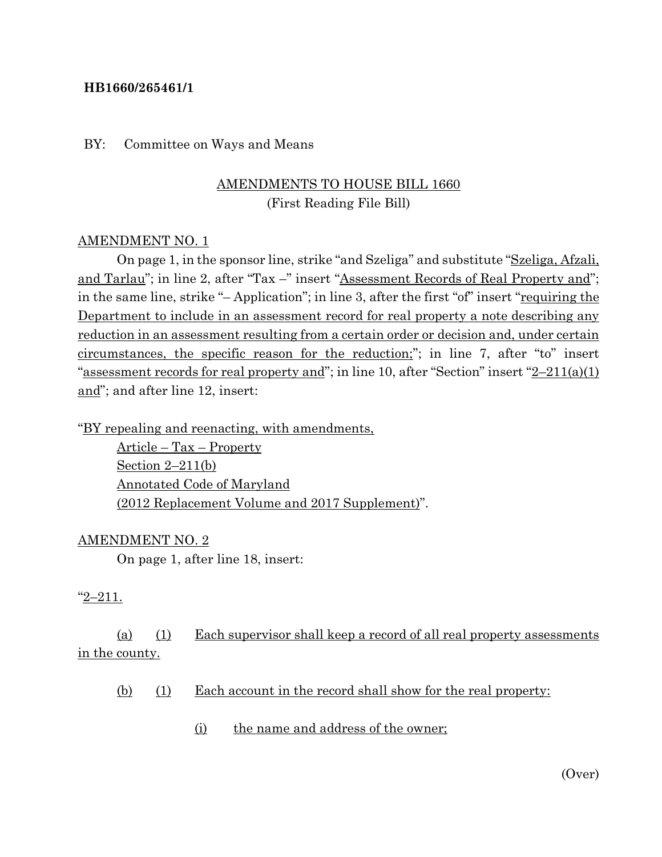#### **HB1660/265461/1**

#### BY: Committee on Ways and Means

## AMENDMENTS TO HOUSE BILL 1660 (First Reading File Bill)

#### AMENDMENT NO. 1

On page 1, in the sponsor line, strike "and Szeliga" and substitute "Szeliga, Afzali, and Tarlau"; in line 2, after "Tax –" insert "Assessment Records of Real Property and"; in the same line, strike "- Application"; in line 3, after the first "of" insert "requiring the Department to include in an assessment record for real property a note describing any reduction in an assessment resulting from a certain order or decision and, under certain circumstances, the specific reason for the reduction;"; in line 7, after "to" insert "assessment records for real property and"; in line 10, after "Section" insert  $2-211(a)(1)$ and"; and after line 12, insert:

"BY repealing and reenacting, with amendments,

Article – Tax – Property Section 2–211(b) Annotated Code of Maryland (2012 Replacement Volume and 2017 Supplement)".

#### AMENDMENT NO. 2

On page 1, after line 18, insert:

#### "2–211.

(a) (1) Each supervisor shall keep a record of all real property assessments in the county.

- (b) (1) Each account in the record shall show for the real property:
	- (i) the name and address of the owner;